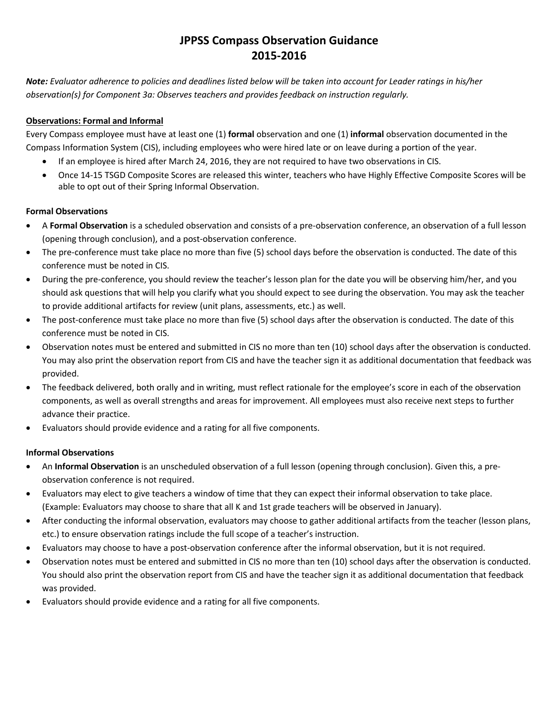*Note: Evaluator adherence to policies and deadlines listed below will be taken into account for Leader ratings in his/her observation(s) for Component 3a: Observes teachers and provides feedback on instruction regularly.* 

## **Observations: Formal and Informal**

Every Compass employee must have at least one (1) **formal** observation and one (1) **informal** observation documented in the Compass Information System (CIS), including employees who were hired late or on leave during a portion of the year.

- If an employee is hired after March 24, 2016, they are not required to have two observations in CIS.
- Once 14-15 TSGD Composite Scores are released this winter, teachers who have Highly Effective Composite Scores will be able to opt out of their Spring Informal Observation.

### **Formal Observations**

- A **Formal Observation** is a scheduled observation and consists of a pre-observation conference, an observation of a full lesson (opening through conclusion), and a post-observation conference.
- The pre-conference must take place no more than five (5) school days before the observation is conducted. The date of this conference must be noted in CIS.
- During the pre-conference, you should review the teacher's lesson plan for the date you will be observing him/her, and you should ask questions that will help you clarify what you should expect to see during the observation. You may ask the teacher to provide additional artifacts for review (unit plans, assessments, etc.) as well.
- The post-conference must take place no more than five (5) school days after the observation is conducted. The date of this conference must be noted in CIS.
- Observation notes must be entered and submitted in CIS no more than ten (10) school days after the observation is conducted. You may also print the observation report from CIS and have the teacher sign it as additional documentation that feedback was provided.
- The feedback delivered, both orally and in writing, must reflect rationale for the employee's score in each of the observation components, as well as overall strengths and areas for improvement. All employees must also receive next steps to further advance their practice.
- Evaluators should provide evidence and a rating for all five components.

### **Informal Observations**

- An **Informal Observation** is an unscheduled observation of a full lesson (opening through conclusion). Given this, a preobservation conference is not required.
- Evaluators may elect to give teachers a window of time that they can expect their informal observation to take place. (Example: Evaluators may choose to share that all K and 1st grade teachers will be observed in January).
- After conducting the informal observation, evaluators may choose to gather additional artifacts from the teacher (lesson plans, etc.) to ensure observation ratings include the full scope of a teacher's instruction.
- Evaluators may choose to have a post-observation conference after the informal observation, but it is not required.
- Observation notes must be entered and submitted in CIS no more than ten (10) school days after the observation is conducted. You should also print the observation report from CIS and have the teacher sign it as additional documentation that feedback was provided.
- Evaluators should provide evidence and a rating for all five components.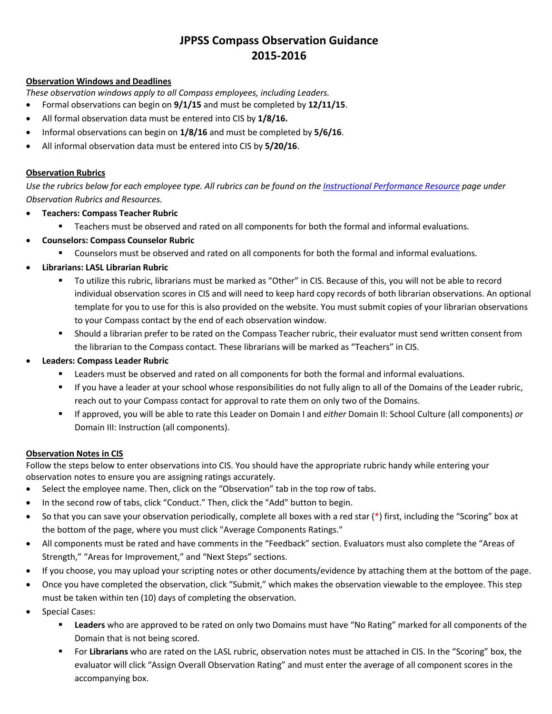### **Observation Windows and Deadlines**

*These observation windows apply to all Compass employees, including Leaders.*

- Formal observations can begin on **9/1/15** and must be completed by **12/11/15**.
- All formal observation data must be entered into CIS by **1/8/16.**
- Informal observations can begin on **1/8/16** and must be completed by **5/6/16**.
- All informal observation data must be entered into CIS by **5/20/16**.

### **Observation Rubrics**

*Use the rubrics below for each employee type. All rubrics can be found on th[e Instructional Performance Resource](http://jpschools.org/department/datainstructional-performance/) page under Observation Rubrics and Resources.*

- **Teachers: Compass Teacher Rubric**
	- Teachers must be observed and rated on all components for both the formal and informal evaluations.
- **Counselors: Compass Counselor Rubric**
	- Counselors must be observed and rated on all components for both the formal and informal evaluations.
- **Librarians: LASL Librarian Rubric**
	- To utilize this rubric, librarians must be marked as "Other" in CIS. Because of this, you will not be able to record individual observation scores in CIS and will need to keep hard copy records of both librarian observations. An optional template for you to use for this is also provided on the website. You must submit copies of your librarian observations to your Compass contact by the end of each observation window.
	- Should a librarian prefer to be rated on the Compass Teacher rubric, their evaluator must send written consent from the librarian to the Compass contact. These librarians will be marked as "Teachers" in CIS.
- **Leaders: Compass Leader Rubric**
	- Leaders must be observed and rated on all components for both the formal and informal evaluations.
	- If you have a leader at your school whose responsibilities do not fully align to all of the Domains of the Leader rubric, reach out to your Compass contact for approval to rate them on only two of the Domains.
	- If approved, you will be able to rate this Leader on Domain I and *either* Domain II: School Culture (all components) *or* Domain III: Instruction (all components).

### **Observation Notes in CIS**

Follow the steps below to enter observations into CIS. You should have the appropriate rubric handy while entering your observation notes to ensure you are assigning ratings accurately.

- Select the employee name. Then, click on the "Observation" tab in the top row of tabs.
- In the second row of tabs, click "Conduct." Then, click the "Add" button to begin.
- So that you can save your observation periodically, complete all boxes with a red star (\*) first, including the "Scoring" box at the bottom of the page, where you must click "Average Components Ratings."
- All components must be rated and have comments in the "Feedback" section. Evaluators must also complete the "Areas of Strength," "Areas for Improvement," and "Next Steps" sections.
- If you choose, you may upload your scripting notes or other documents/evidence by attaching them at the bottom of the page.
- Once you have completed the observation, click "Submit," which makes the observation viewable to the employee. This step must be taken within ten (10) days of completing the observation.
- Special Cases:
	- **Leaders** who are approved to be rated on only two Domains must have "No Rating" marked for all components of the Domain that is not being scored.
	- For **Librarians** who are rated on the LASL rubric, observation notes must be attached in CIS. In the "Scoring" box, the evaluator will click "Assign Overall Observation Rating" and must enter the average of all component scores in the accompanying box.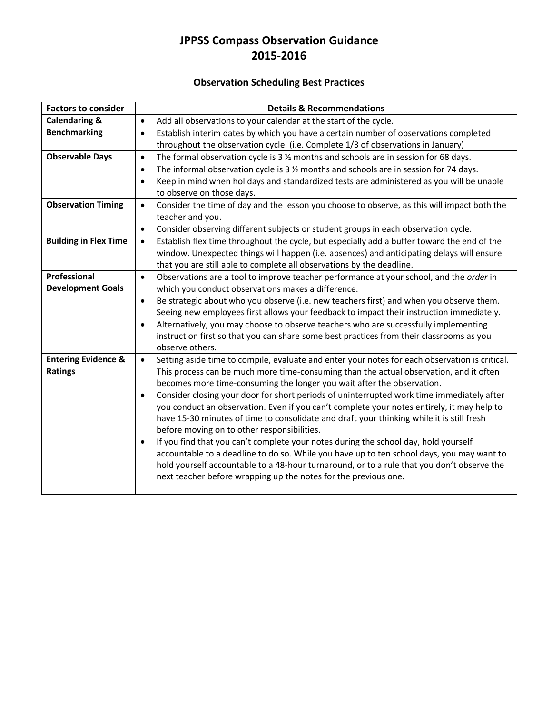# **Observation Scheduling Best Practices**

| <b>Factors to consider</b>                       | <b>Details &amp; Recommendations</b>                                                                                                                                                                                                                                                                                                                                                                                                                                                                                                                                                                                                                                                                                                                                                                                                                                                                                                                                                                  |
|--------------------------------------------------|-------------------------------------------------------------------------------------------------------------------------------------------------------------------------------------------------------------------------------------------------------------------------------------------------------------------------------------------------------------------------------------------------------------------------------------------------------------------------------------------------------------------------------------------------------------------------------------------------------------------------------------------------------------------------------------------------------------------------------------------------------------------------------------------------------------------------------------------------------------------------------------------------------------------------------------------------------------------------------------------------------|
| <b>Calendaring &amp;</b>                         | Add all observations to your calendar at the start of the cycle.<br>$\bullet$                                                                                                                                                                                                                                                                                                                                                                                                                                                                                                                                                                                                                                                                                                                                                                                                                                                                                                                         |
| <b>Benchmarking</b>                              | Establish interim dates by which you have a certain number of observations completed<br>$\bullet$<br>throughout the observation cycle. (i.e. Complete 1/3 of observations in January)                                                                                                                                                                                                                                                                                                                                                                                                                                                                                                                                                                                                                                                                                                                                                                                                                 |
| <b>Observable Days</b>                           | The formal observation cycle is $3\frac{1}{2}$ months and schools are in session for 68 days.<br>$\bullet$<br>The informal observation cycle is 3 % months and schools are in session for 74 days.<br>$\bullet$<br>Keep in mind when holidays and standardized tests are administered as you will be unable<br>$\bullet$<br>to observe on those days.                                                                                                                                                                                                                                                                                                                                                                                                                                                                                                                                                                                                                                                 |
| <b>Observation Timing</b>                        | Consider the time of day and the lesson you choose to observe, as this will impact both the<br>$\bullet$<br>teacher and you.<br>Consider observing different subjects or student groups in each observation cycle.<br>$\bullet$                                                                                                                                                                                                                                                                                                                                                                                                                                                                                                                                                                                                                                                                                                                                                                       |
| <b>Building in Flex Time</b>                     | Establish flex time throughout the cycle, but especially add a buffer toward the end of the<br>$\bullet$<br>window. Unexpected things will happen (i.e. absences) and anticipating delays will ensure<br>that you are still able to complete all observations by the deadline.                                                                                                                                                                                                                                                                                                                                                                                                                                                                                                                                                                                                                                                                                                                        |
| Professional<br><b>Development Goals</b>         | Observations are a tool to improve teacher performance at your school, and the order in<br>$\bullet$<br>which you conduct observations makes a difference.<br>Be strategic about who you observe (i.e. new teachers first) and when you observe them.<br>$\bullet$<br>Seeing new employees first allows your feedback to impact their instruction immediately.<br>Alternatively, you may choose to observe teachers who are successfully implementing<br>$\bullet$<br>instruction first so that you can share some best practices from their classrooms as you<br>observe others.                                                                                                                                                                                                                                                                                                                                                                                                                     |
| <b>Entering Evidence &amp;</b><br><b>Ratings</b> | Setting aside time to compile, evaluate and enter your notes for each observation is critical.<br>$\bullet$<br>This process can be much more time-consuming than the actual observation, and it often<br>becomes more time-consuming the longer you wait after the observation.<br>Consider closing your door for short periods of uninterrupted work time immediately after<br>$\bullet$<br>you conduct an observation. Even if you can't complete your notes entirely, it may help to<br>have 15-30 minutes of time to consolidate and draft your thinking while it is still fresh<br>before moving on to other responsibilities.<br>If you find that you can't complete your notes during the school day, hold yourself<br>$\bullet$<br>accountable to a deadline to do so. While you have up to ten school days, you may want to<br>hold yourself accountable to a 48-hour turnaround, or to a rule that you don't observe the<br>next teacher before wrapping up the notes for the previous one. |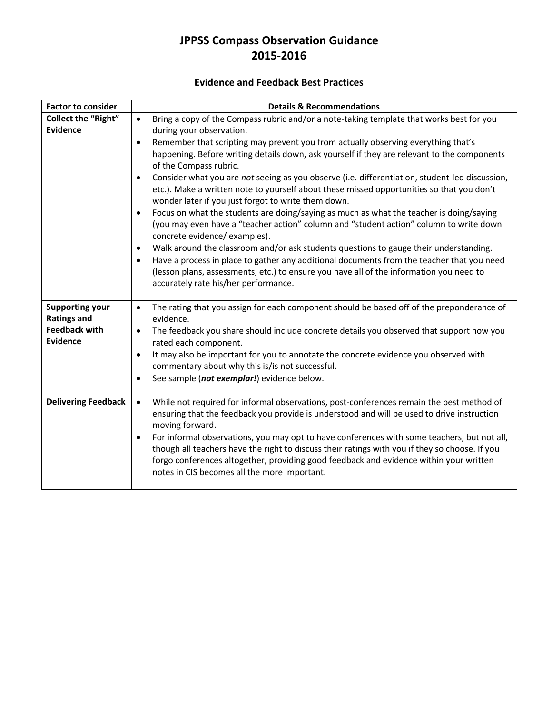## **Evidence and Feedback Best Practices**

| <b>Factor to consider</b>               | <b>Details &amp; Recommendations</b>                                                                                                                                                           |  |
|-----------------------------------------|------------------------------------------------------------------------------------------------------------------------------------------------------------------------------------------------|--|
| <b>Collect the "Right"</b>              | Bring a copy of the Compass rubric and/or a note-taking template that works best for you<br>$\bullet$                                                                                          |  |
| <b>Evidence</b>                         | during your observation.                                                                                                                                                                       |  |
|                                         | Remember that scripting may prevent you from actually observing everything that's<br>$\bullet$                                                                                                 |  |
|                                         | happening. Before writing details down, ask yourself if they are relevant to the components                                                                                                    |  |
|                                         | of the Compass rubric.                                                                                                                                                                         |  |
|                                         | Consider what you are not seeing as you observe (i.e. differentiation, student-led discussion,<br>$\bullet$                                                                                    |  |
|                                         | etc.). Make a written note to yourself about these missed opportunities so that you don't                                                                                                      |  |
|                                         | wonder later if you just forgot to write them down.                                                                                                                                            |  |
|                                         | Focus on what the students are doing/saying as much as what the teacher is doing/saying<br>$\bullet$<br>(you may even have a "teacher action" column and "student action" column to write down |  |
|                                         | concrete evidence/ examples).                                                                                                                                                                  |  |
|                                         | Walk around the classroom and/or ask students questions to gauge their understanding.<br>$\bullet$                                                                                             |  |
|                                         | Have a process in place to gather any additional documents from the teacher that you need<br>$\bullet$                                                                                         |  |
|                                         | (lesson plans, assessments, etc.) to ensure you have all of the information you need to                                                                                                        |  |
|                                         | accurately rate his/her performance.                                                                                                                                                           |  |
|                                         |                                                                                                                                                                                                |  |
| <b>Supporting your</b>                  | The rating that you assign for each component should be based off of the preponderance of<br>$\bullet$                                                                                         |  |
| <b>Ratings and</b>                      | evidence.                                                                                                                                                                                      |  |
| <b>Feedback with</b><br><b>Evidence</b> | The feedback you share should include concrete details you observed that support how you<br>$\bullet$                                                                                          |  |
|                                         | rated each component.                                                                                                                                                                          |  |
|                                         | It may also be important for you to annotate the concrete evidence you observed with<br>$\bullet$<br>commentary about why this is/is not successful.                                           |  |
|                                         | See sample (not exemplar!) evidence below.<br>$\bullet$                                                                                                                                        |  |
|                                         |                                                                                                                                                                                                |  |
| <b>Delivering Feedback</b>              | While not required for informal observations, post-conferences remain the best method of<br>$\bullet$                                                                                          |  |
|                                         | ensuring that the feedback you provide is understood and will be used to drive instruction                                                                                                     |  |
|                                         | moving forward.                                                                                                                                                                                |  |
|                                         | For informal observations, you may opt to have conferences with some teachers, but not all,<br>$\bullet$                                                                                       |  |
|                                         | though all teachers have the right to discuss their ratings with you if they so choose. If you                                                                                                 |  |
|                                         | forgo conferences altogether, providing good feedback and evidence within your written                                                                                                         |  |
|                                         | notes in CIS becomes all the more important.                                                                                                                                                   |  |
|                                         |                                                                                                                                                                                                |  |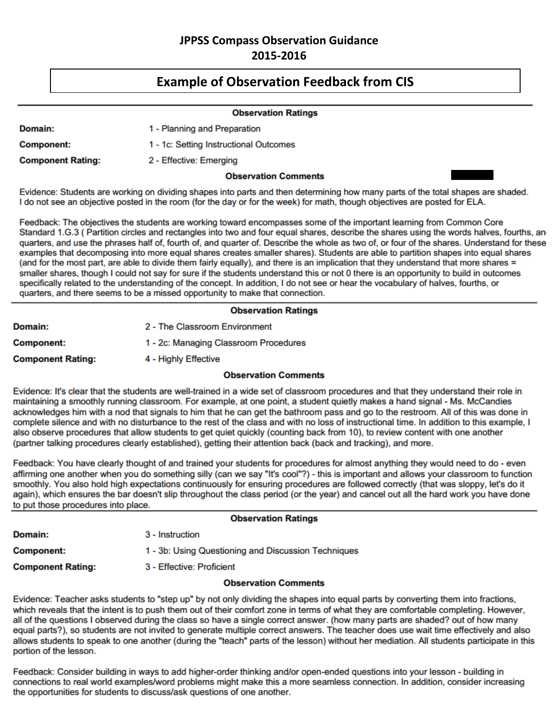# **Example of Observation Feedback from CIS**

|                          | <b>Observation Ratings</b>             |  |
|--------------------------|----------------------------------------|--|
| Domain:                  | 1 - Planning and Preparation           |  |
| <b>Component:</b>        | 1 - 1c: Setting Instructional Outcomes |  |
| <b>Component Rating:</b> | 2 - Effective: Emerging                |  |
|                          | <b>Observation Comments</b>            |  |

Evidence: Students are working on dividing shapes into parts and then determining how many parts of the total shapes are shaded. I do not see an objective posted in the room (for the day or for the week) for math, though objectives are posted for ELA.

Feedback: The objectives the students are working toward encompasses some of the important learning from Common Core Standard 1.G.3 (Partition circles and rectangles into two and four equal shares, describe the shares using the words halves, fourths, an quarters, and use the phrases half of, fourth of, and quarter of. Describe the whole as two of, or four of the shares. Understand for these examples that decomposing into more equal shares creates smaller shares). Students are able to partition shapes into equal shares (and for the most part, are able to divide them fairly equally), and there is an implication that they understand that more shares = smaller shares, though I could not say for sure if the students understand this or not 0 there is an opportunity to build in outcomes specifically related to the understanding of the concept. In addition, I do not see or hear the vocabulary of halves, fourths, or quarters, and there seems to be a missed opportunity to make that connection.

#### **Observation Ratings**

| Domain:                  | 2 - The Classroom Environment         |
|--------------------------|---------------------------------------|
| Component:               | 1 - 2c: Managing Classroom Procedures |
| <b>Component Rating:</b> | 4 - Highly Effective                  |

### **Observation Comments**

Evidence: It's clear that the students are well-trained in a wide set of classroom procedures and that they understand their role in maintaining a smoothly running classroom. For example, at one point, a student quietly makes a hand signal - Ms. McCandies acknowledges him with a nod that signals to him that he can get the bathroom pass and go to the restroom. All of this was done in complete silence and with no disturbance to the rest of the class and with no loss of instructional time. In addition to this example, I also observe procedures that allow students to get quiet quickly (counting back from 10), to review content with one another (partner talking procedures clearly established), getting their attention back (back and tracking), and more,

Feedback: You have clearly thought of and trained your students for procedures for almost anything they would need to do - even affirming one another when you do something silly (can we say "It's cool"?) - this is important and allows your classroom to function smoothly. You also hold high expectations continuously for ensuring procedures are followed correctly (that was sloppy, let's do it again), which ensures the bar doesn't slip throughout the class period (or the year) and cancel out all the hard work you have done to put those procedures into place.

#### **Observation Ratings**

| <b>Domain:</b>    | 3 - Instruction                                     |
|-------------------|-----------------------------------------------------|
| <b>Component:</b> | 1 - 3b: Using Questioning and Discussion Techniques |
|                   |                                                     |

3 - Effective: Proficient **Component Rating:** 

### **Observation Comments**

Evidence: Teacher asks students to "step up" by not only dividing the shapes into equal parts by converting them into fractions, which reveals that the intent is to push them out of their comfort zone in terms of what they are comfortable completing. However, all of the questions I observed during the class so have a single correct answer. (how many parts are shaded? out of how many equal parts?), so students are not invited to generate multiple correct answers. The teacher does use wait time effectively and also allows students to speak to one another (during the "teach" parts of the lesson) without her mediation. All students participate in this portion of the lesson.

Feedback: Consider building in ways to add higher-order thinking and/or open-ended questions into your lesson - building in connections to real world examples/word problems might make this a more seamless connection. In addition, consider increasing the opportunities for students to discuss/ask questions of one another.